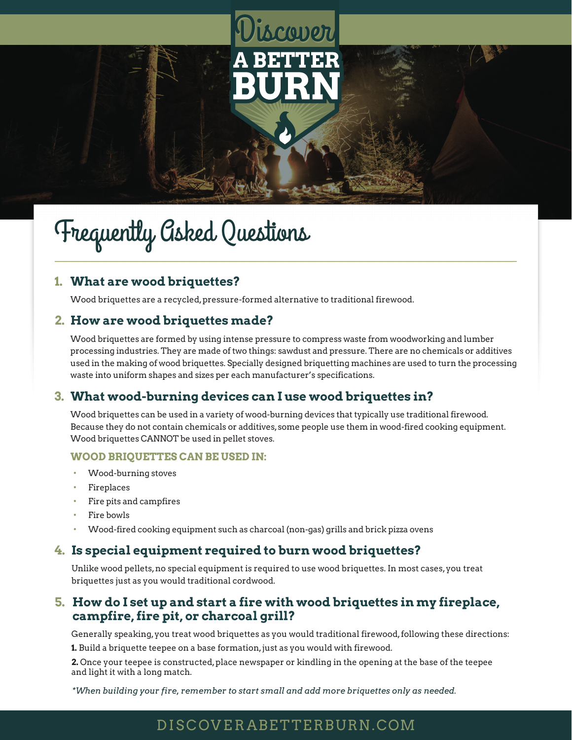# iscover

# Frequently Asked Questions

#### **1. What are wood briquettes?**

Wood briquettes are a recycled, pressure-formed alternative to traditional firewood.

#### **2. How are wood briquettes made?**

Wood briquettes are formed by using intense pressure to compress waste from woodworking and lumber processing industries. They are made of two things: sawdust and pressure. There are no chemicals or additives used in the making of wood briquettes. Specially designed briquetting machines are used to turn the processing waste into uniform shapes and sizes per each manufacturer's specifications.

#### **3. What wood-burning devices can I use wood briquettes in?**

Wood briquettes can be used in a variety of wood-burning devices that typically use traditional firewood. Because they do not contain chemicals or additives, some people use them in wood-fired cooking equipment. Wood briquettes CANNOT be used in pellet stoves.

#### **WOOD BRIQUETTES CAN BE USED IN:**

- Wood-burning stoves
- **Fireplaces**
- Fire pits and campfires
- Fire bowls
- Wood-fired cooking equipment such as charcoal (non-gas) grills and brick pizza ovens

#### **4. Is special equipment required to burn wood briquettes?**

Unlike wood pellets, no special equipment is required to use wood briquettes. In most cases, you treat briquettes just as you would traditional cordwood.

#### **5. How do I set up and start a fire with wood briquettes in my fireplace, campfire, fire pit, or charcoal grill?**

Generally speaking, you treat wood briquettes as you would traditional firewood, following these directions:

**1.** Build a briquette teepee on a base formation, just as you would with firewood.

**2.** Once your teepee is constructed, place newspaper or kindling in the opening at the base of the teepee and light it with a long match.

*\*When building your fire, remember to start small and add more briquettes only as needed.*

## DISCOVE RABETTERBURN.COM